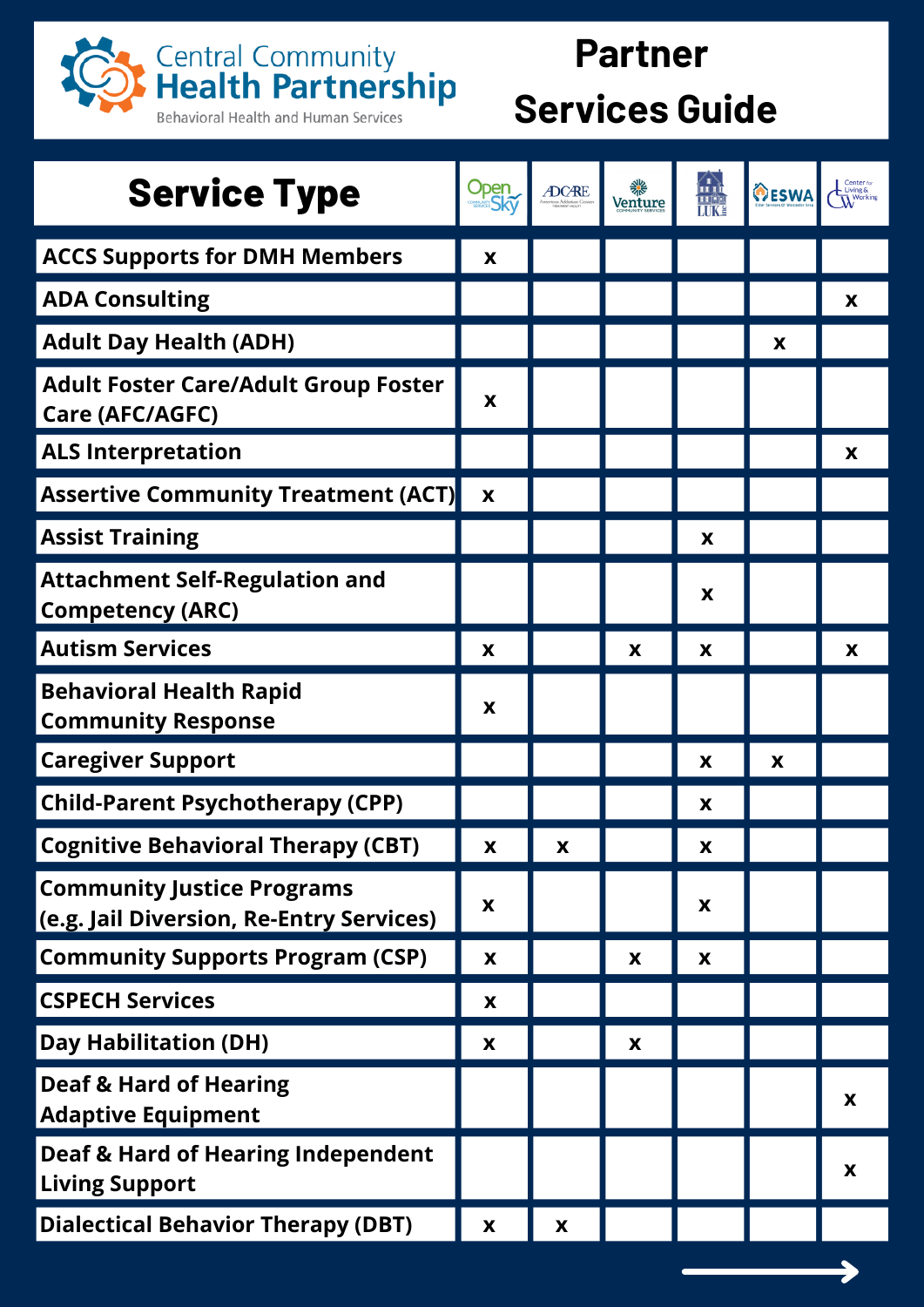

## **Partner Services Guide**

| <b>Service Type</b>                                                           | Open<br>Sky               | <b>ADCARE</b>      | 貒<br>Venture | ∕ 1`<br> II Լ<br><b>TTE:</b> | OESWA | Center <sub>fo</sub><br>$\sim$ Living & |
|-------------------------------------------------------------------------------|---------------------------|--------------------|--------------|------------------------------|-------|-----------------------------------------|
| <b>ACCS Supports for DMH Members</b>                                          | X                         |                    |              |                              |       |                                         |
| <b>ADA Consulting</b>                                                         |                           |                    |              |                              |       | X                                       |
| <b>Adult Day Health (ADH)</b>                                                 |                           |                    |              |                              | X     |                                         |
| <b>Adult Foster Care/Adult Group Foster</b><br>Care (AFC/AGFC)                | X                         |                    |              |                              |       |                                         |
| <b>ALS Interpretation</b>                                                     |                           |                    |              |                              |       | X                                       |
| <b>Assertive Community Treatment (ACT)</b>                                    | X                         |                    |              |                              |       |                                         |
| <b>Assist Training</b>                                                        |                           |                    |              | X                            |       |                                         |
| <b>Attachment Self-Regulation and</b><br><b>Competency (ARC)</b>              |                           |                    |              | X                            |       |                                         |
| <b>Autism Services</b>                                                        | X                         |                    | X            | X                            |       | X                                       |
| <b>Behavioral Health Rapid</b><br><b>Community Response</b>                   | X                         |                    |              |                              |       |                                         |
| <b>Caregiver Support</b>                                                      |                           |                    |              | X                            | X     |                                         |
| <b>Child-Parent Psychotherapy (CPP)</b>                                       |                           |                    |              | X                            |       |                                         |
| <b>Cognitive Behavioral Therapy (CBT)</b>                                     | X                         | $\pmb{\mathsf{X}}$ |              | X                            |       |                                         |
| <b>Community Justice Programs</b><br>(e.g. Jail Diversion, Re-Entry Services) | X                         |                    |              | X                            |       |                                         |
| <b>Community Supports Program (CSP)</b>                                       | $\boldsymbol{\mathsf{X}}$ |                    | X            | X                            |       |                                         |
| <b>CSPECH Services</b>                                                        | X                         |                    |              |                              |       |                                         |
| <b>Day Habilitation (DH)</b>                                                  | X                         |                    | X            |                              |       |                                         |
| <b>Deaf &amp; Hard of Hearing</b><br><b>Adaptive Equipment</b>                |                           |                    |              |                              |       | X                                       |
| <b>Deaf &amp; Hard of Hearing Independent</b><br><b>Living Support</b>        |                           |                    |              |                              |       | X                                       |
| <b>Dialectical Behavior Therapy (DBT)</b>                                     | X                         | X                  |              |                              |       |                                         |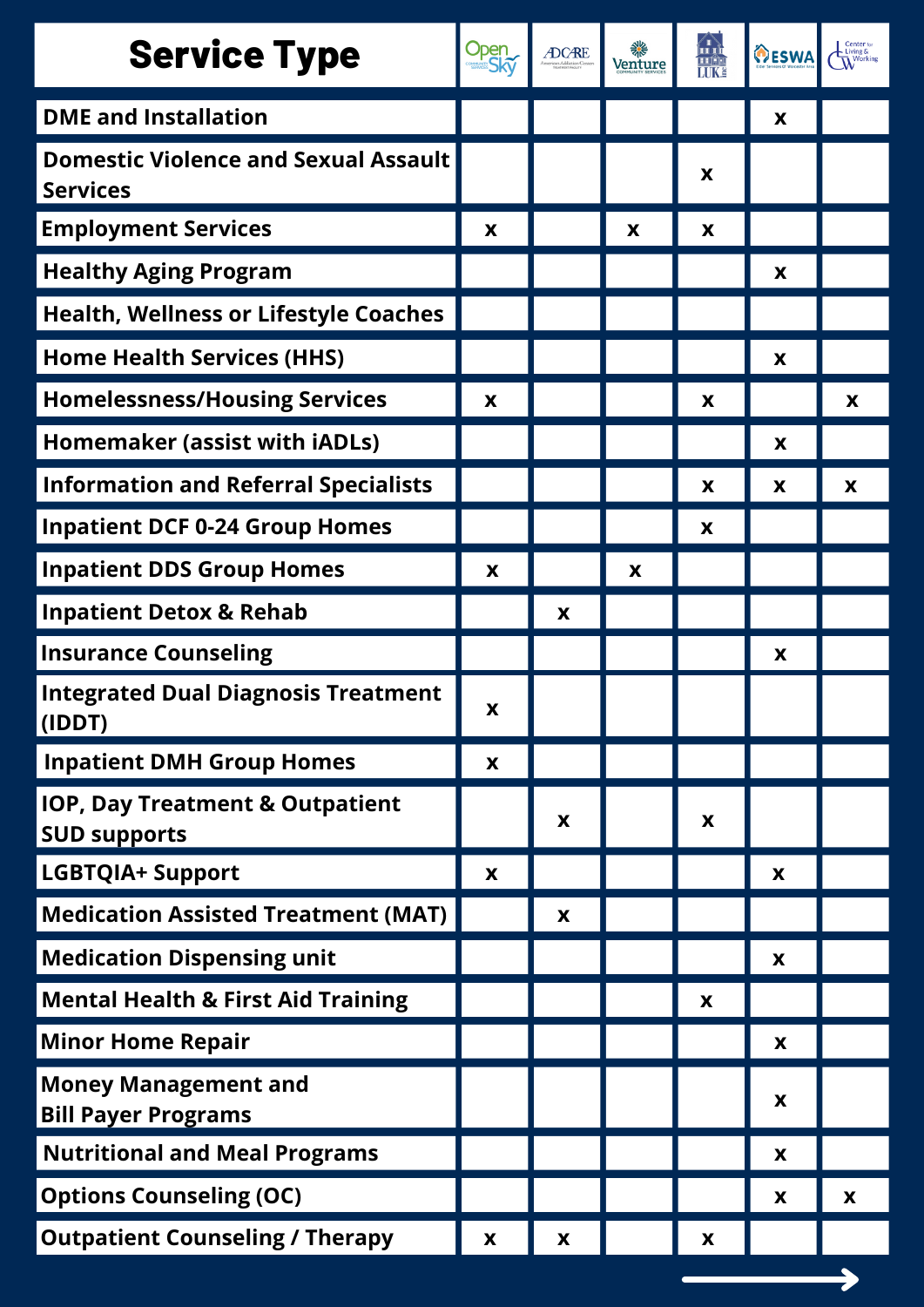| <b>Service Type</b>                                               | Open<br>Sky | <b>ADCARE</b> | 檾<br>Venture | пÎ,<br><b>THE LUKE</b> | OESWA | Center <sub>f</sub><br>$\sim$ Living & |
|-------------------------------------------------------------------|-------------|---------------|--------------|------------------------|-------|----------------------------------------|
| <b>DME and Installation</b>                                       |             |               |              |                        | X     |                                        |
| <b>Domestic Violence and Sexual Assault</b><br><b>Services</b>    |             |               |              | X                      |       |                                        |
| <b>Employment Services</b>                                        | X           |               | X            | X                      |       |                                        |
| <b>Healthy Aging Program</b>                                      |             |               |              |                        | X     |                                        |
| <b>Health, Wellness or Lifestyle Coaches</b>                      |             |               |              |                        |       |                                        |
| <b>Home Health Services (HHS)</b>                                 |             |               |              |                        | X     |                                        |
| <b>Homelessness/Housing Services</b>                              | X           |               |              | X                      |       | X                                      |
| Homemaker (assist with iADLs)                                     |             |               |              |                        | X     |                                        |
| <b>Information and Referral Specialists</b>                       |             |               |              | X                      | X     | X                                      |
| <b>Inpatient DCF 0-24 Group Homes</b>                             |             |               |              | X                      |       |                                        |
| <b>Inpatient DDS Group Homes</b>                                  | X           |               | X            |                        |       |                                        |
| <b>Inpatient Detox &amp; Rehab</b>                                |             | X             |              |                        |       |                                        |
| <b>Insurance Counseling</b>                                       |             |               |              |                        | X     |                                        |
| <b>Integrated Dual Diagnosis Treatment</b><br>(IDDT)              | X           |               |              |                        |       |                                        |
| <b>Inpatient DMH Group Homes</b>                                  | X           |               |              |                        |       |                                        |
| <b>IOP, Day Treatment &amp; Outpatient</b><br><b>SUD supports</b> |             | X             |              | X                      |       |                                        |
| <b>LGBTQIA+ Support</b>                                           | X           |               |              |                        | X     |                                        |
| <b>Medication Assisted Treatment (MAT)</b>                        |             | X             |              |                        |       |                                        |
| <b>Medication Dispensing unit</b>                                 |             |               |              |                        | X     |                                        |
| <b>Mental Health &amp; First Aid Training</b>                     |             |               |              | X                      |       |                                        |
| <b>Minor Home Repair</b>                                          |             |               |              |                        | X     |                                        |
| <b>Money Management and</b><br><b>Bill Payer Programs</b>         |             |               |              |                        | X     |                                        |
| <b>Nutritional and Meal Programs</b>                              |             |               |              |                        | X     |                                        |
| <b>Options Counseling (OC)</b>                                    |             |               |              |                        | X     | X                                      |
| <b>Outpatient Counseling / Therapy</b>                            | X           | X             |              | X                      |       |                                        |